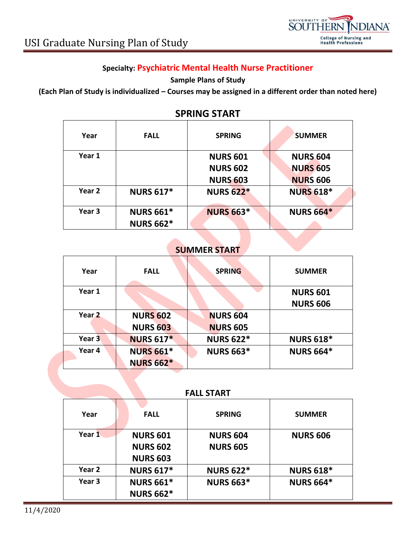

## **Specialty: Psychiatric Mental Health Nurse Practitioner**

# **Sample Plans of Study**

**(Each Plan of Study is individualized – Courses may be assigned in a different order than noted here)**

| Year              | <b>FALL</b>      | <b>SPRING</b>    | <b>SUMMER</b>    |
|-------------------|------------------|------------------|------------------|
| Year 1            |                  | <b>NURS 601</b>  | <b>NURS 604</b>  |
|                   |                  | <b>NURS 602</b>  | <b>NURS 605</b>  |
|                   |                  | <b>NURS 603</b>  | <b>NURS 606</b>  |
| Year 2            | <b>NURS 617*</b> | <b>NURS 622*</b> | <b>NURS 618*</b> |
| Year <sub>3</sub> | <b>NURS 661*</b> | <b>NURS 663*</b> | <b>NURS 664*</b> |
|                   | <b>NURS 662*</b> |                  |                  |

### **SPRING START**

### **SUMMER START**

| Year              | <b>FALL</b>      | <b>SPRING</b>    | <b>SUMMER</b>    |
|-------------------|------------------|------------------|------------------|
| Year 1            |                  |                  | <b>NURS 601</b>  |
|                   |                  |                  | <b>NURS 606</b>  |
| Year <sub>2</sub> | <b>NURS 602</b>  | <b>NURS 604</b>  |                  |
|                   | <b>NURS 603</b>  | <b>NURS 605</b>  |                  |
| Year 3            | <b>NURS 617*</b> | <b>NURS 622*</b> | <b>NURS 618*</b> |
| Year 4            | <b>NURS 661*</b> | <b>NURS 663*</b> | <b>NURS 664*</b> |
|                   | <b>NURS 662*</b> |                  |                  |

| <b>FALL START</b> |                                                       |                                    |                  |  |  |
|-------------------|-------------------------------------------------------|------------------------------------|------------------|--|--|
| Year              | <b>FALL</b>                                           | <b>SPRING</b>                      | <b>SUMMER</b>    |  |  |
| Year 1            | <b>NURS 601</b><br><b>NURS 602</b><br><b>NURS 603</b> | <b>NURS 604</b><br><b>NURS 605</b> | <b>NURS 606</b>  |  |  |
| Year 2            | <b>NURS 617*</b>                                      | <b>NURS 622*</b>                   | <b>NURS 618*</b> |  |  |
| Year 3            | <b>NURS 661*</b><br><b>NURS 662*</b>                  | <b>NURS 663*</b>                   | <b>NURS 664*</b> |  |  |